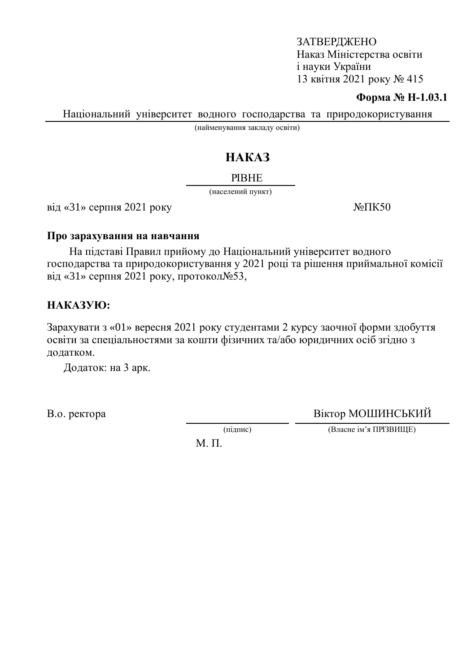### ЗАТВЕРДЖЕНО Наказ Міністерства освіти i науки України 13 квітня 2021 року № 415

#### **Форма № Н-1.03.1**

Національний університет водного господарства та природокористування

(найменування закладу освіти)

# HAKA3

#### **PIBHE**

(населений пункт)

 $\overline{Bi}$ д «31» серпня 2021 року  $\overline{Ne}$   $\overline{I}$ К50

#### Про зарахування на навчання

На підставі Правил прийому до Національний університет водного господарства та природокористування у 2021 році та рішення приймальної комісії від «31» серпня 2021 року, протокол $N_2$ 53,

## HAKA3YIO:

Зарахувати з «01» вересня 2021 року студентами 2 курсу заочної форми здобуття освіти за спеціальностями за кошти фізичних та/або юридичних осіб згідно з додатком.

Додаток: на 3 арк.

В.о. ректора Віктор МОШИНСЬКИЙ

(підпис) (Власне ім'я ПРІЗВИЩЕ)

М. П.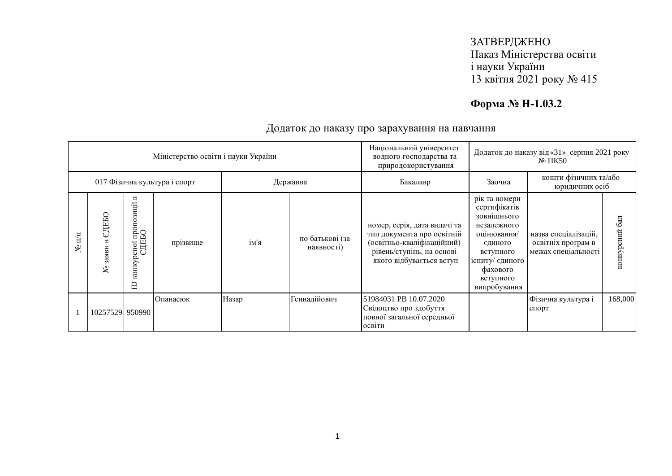## ЗАТВЕРДЖЕНО Наказ Міністерства освіти і науки України 13 квітня 2021 року № 415

# **Форма № Н-1.03.2**

| Міністерство освіти і науки України |                     |                                                                  |          |          |                               | Національний університет<br>водного господарства та<br>природокористування                                                                        | Додаток до наказу від «31» серпня 2021 року<br>$\mathbb{N}^{\circ}$ TIK50                                                                                      |                                                                   |                  |
|-------------------------------------|---------------------|------------------------------------------------------------------|----------|----------|-------------------------------|---------------------------------------------------------------------------------------------------------------------------------------------------|----------------------------------------------------------------------------------------------------------------------------------------------------------------|-------------------------------------------------------------------|------------------|
| 017 Фізична культура і спорт        |                     |                                                                  |          | Державна |                               | Бакалавр                                                                                                                                          | кошти фізичних та/або<br>Заочна<br>юридичних осіб                                                                                                              |                                                                   |                  |
| $\mathbb{H}^{\mathbb{H}}$<br>ع      | СДЕБО<br>заяви<br>ع | $\blacksquare$<br>рсної пропозиції н<br>ЄДЕБО<br>конкурсної<br>⊟ | прізвище | ім'я     | по батькові (за<br>наявності) | номер, серія, дата видачі та<br>тип документа про освітній<br>(освітньо-кваліфікаційний)<br>рівень/ступінь, на основі<br>якого відбувається вступ | рік та номери<br>сертифікатів<br>зовнішнього<br>незалежного<br>оцінювання/<br>єдиного<br>вступного<br>іспиту/ єдиного<br>фахового<br>вступного<br>випробування | назва спеціалізацій,<br>освітніх програм в<br>межах спеціальності | 6a<br>конкурсний |
|                                     | 10257529 950990     |                                                                  | Опанасюк | Назар    | Геннадійович                  | 51984031 PB 10.07.2020<br>Свідоцтво про здобуття<br>повної загальної середньої<br>освіти                                                          |                                                                                                                                                                | Фізична культура і<br>спорт                                       | 168,000          |

### Додаток до наказу про зарахування на навчання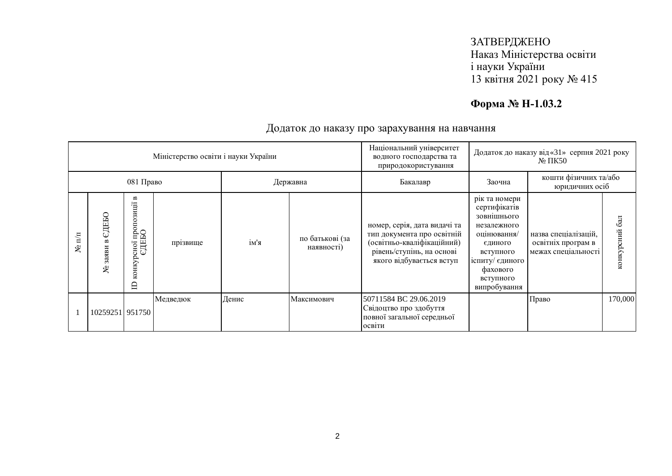## ЗАТВЕРДЖЕНО Наказ Міністерства освіти і науки України 13 квітня 2021 року № 415

# **Форма № Н-1.03.2**

| Міністерство освіти і науки України |                     |                                                                            |          |          |                               | Національний університет<br>водного господарства та<br>природокористування                                                                        | Додаток до наказу від «31» серпня 2021 року<br>$\mathbb{N}^{\circ}$ TIK50                                                                                      |                                                                   |                  |
|-------------------------------------|---------------------|----------------------------------------------------------------------------|----------|----------|-------------------------------|---------------------------------------------------------------------------------------------------------------------------------------------------|----------------------------------------------------------------------------------------------------------------------------------------------------------------|-------------------------------------------------------------------|------------------|
| 081 Право                           |                     |                                                                            |          | Державна |                               | Бакалавр                                                                                                                                          | кошти фізичних та/або<br>Заочна<br>юридичних осіб                                                                                                              |                                                                   |                  |
| $\mathbb{E}$<br>ৼ                   | СДЕБО<br>заяви<br>٤ | $\blacksquare$<br>рсно1 пропозиції в<br>ЄДЕБО<br>конкурсної<br>$\triangle$ | прізвище | ім'я     | по батькові (за<br>наявності) | номер, серія, дата видачі та<br>тип документа про освітній<br>(освітньо-кваліфікаційний)<br>рівень/ступінь, на основі<br>якого відбувається вступ | рік та номери<br>сертифікатів<br>зовнішнього<br>незалежного<br>оцінювання/<br>єдиного<br>вступного<br>іспиту/ єдиного<br>фахового<br>вступного<br>випробування | назва спеціалізацій,<br>освітніх програм в<br>межах спеціальності | 6a<br>конкурсний |
|                                     | 10259251 951750     |                                                                            | Медведюк | Денис    | Максимович                    | 50711584 BC 29.06.2019<br>Свідоцтво про здобуття<br>повної загальної середньої<br>освіти                                                          |                                                                                                                                                                | Право                                                             | 170,000          |

### Додаток до наказу про зарахування на навчання